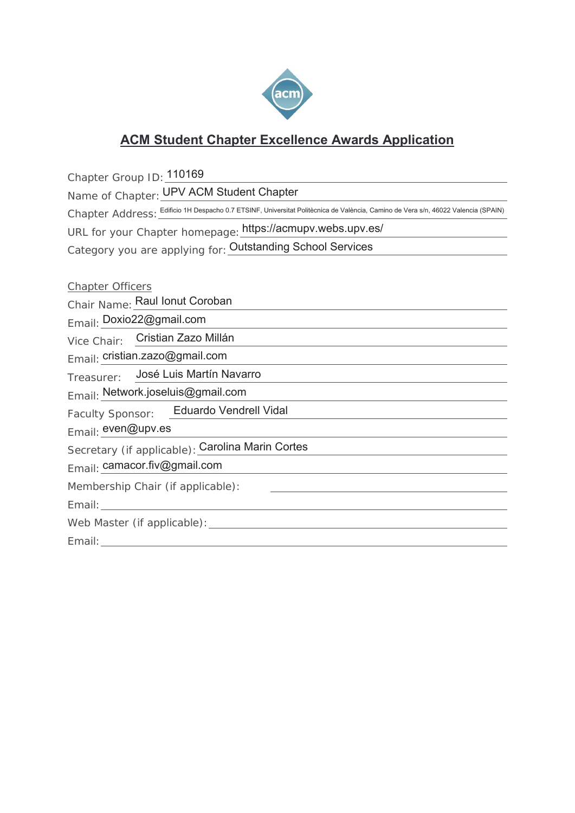

## **ACM Student Chapter Excellence Awards Application**

Chapter Group ID: 110169

Name of Chapter: **UPV ACM Student Chapter** 

Chapter Address: Edificio 1H Despacho 0.7 ETSINF, Universitat Politècnica de València, Camino de Vera s/n, 46022 Valencia (SPAIN)

URL for your Chapter homepage: https://acmupv.webs.upv.es/

Category you are applying for: **Outstanding School Services** 

Chapter Officers Chair Name: Raul Ionut Coroban Email: Doxio22@gmail.com Vice Chair: Cristian Zazo Millán Email: cristian.zazo@gmail.com Treasurer: Email: Network.joseluis@gmail.com Faculty Sponsor: Email: even@upv.es Secretary (if applicable): Carolina Marin Cortes Email: camacor.fiv@gmail.comMembership Chair (if applicable): Email: Web Master (if applicable): Email: José Luis Martín Navarro Eduardo Vendrell Vidal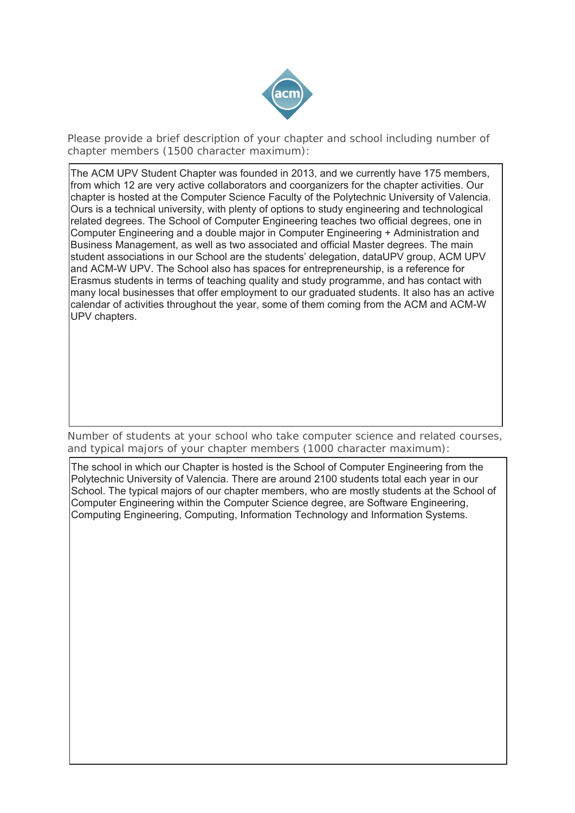

Please provide a brief description of your chapter and school including number of chapter members (1500 character maximum):

The ACM UPV Student Chapter was founded in 2013, and we currently have 175 members, from which 12 are very active collaborators and coorganizers for the chapter activities. Our chapter is hosted at the Computer Science Faculty of the Polytechnic University of Valencia. Ours is a technical university, with plenty of options to study engineering and technological related degrees. The School of Computer Engineering teaches two official degrees, one in Computer Engineering and a double major in Computer Engineering + Administration and Business Management, as well as two associated and official Master degrees. The main student associations in our School are the students' delegation, dataUPV group, ACM UPV and ACM-W UPV. The School also has spaces for entrepreneurship, is a reference for Erasmus students in terms of teaching quality and study programme, and has contact with many local businesses that offer employment to our graduated students. It also has an active calendar of activities throughout the year, some of them coming from the ACM and ACM-W UPV chapters.

Number of students at your school who take computer science and related courses, and typical majors of your chapter members (1000 character maximum):

The school in which our Chapter is hosted is the School of Computer Engineering from the Polytechnic University of Valencia. There are around 2100 students total each year in our School. The typical majors of our chapter members, who are mostly students at the School of Computer Engineering within the Computer Science degree, are Software Engineering, Computing Engineering, Computing, Information Technology and Information Systems.